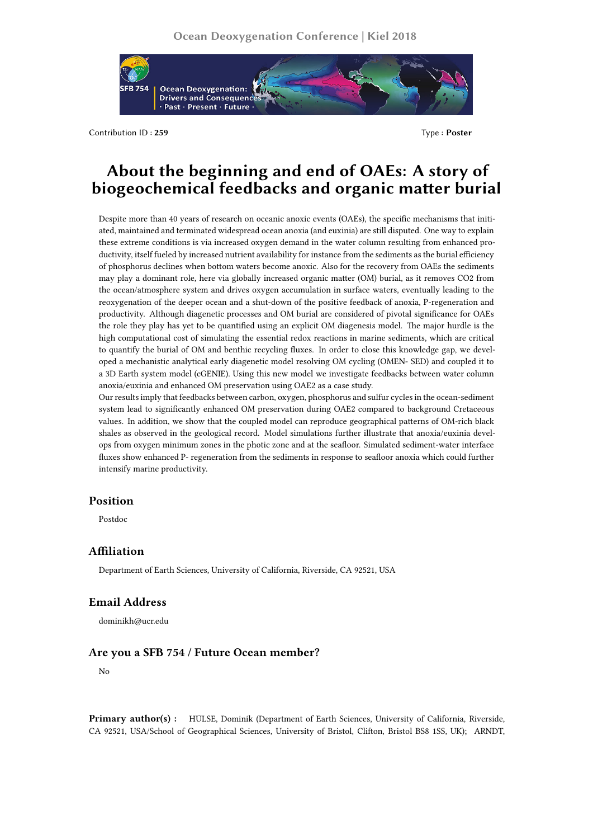

Contribution ID : **259** Type : **Poster**

# **About the beginning and end of OAEs: A story of biogeochemical feedbacks and organic matter burial**

Despite more than 40 years of research on oceanic anoxic events (OAEs), the specific mechanisms that initiated, maintained and terminated widespread ocean anoxia (and euxinia) are still disputed. One way to explain these extreme conditions is via increased oxygen demand in the water column resulting from enhanced productivity, itself fueled by increased nutrient availability for instance from the sediments as the burial efficiency of phosphorus declines when bottom waters become anoxic. Also for the recovery from OAEs the sediments may play a dominant role, here via globally increased organic matter (OM) burial, as it removes CO2 from the ocean/atmosphere system and drives oxygen accumulation in surface waters, eventually leading to the reoxygenation of the deeper ocean and a shut-down of the positive feedback of anoxia, P-regeneration and productivity. Although diagenetic processes and OM burial are considered of pivotal significance for OAEs the role they play has yet to be quantified using an explicit OM diagenesis model. The major hurdle is the high computational cost of simulating the essential redox reactions in marine sediments, which are critical to quantify the burial of OM and benthic recycling fluxes. In order to close this knowledge gap, we developed a mechanistic analytical early diagenetic model resolving OM cycling (OMEN- SED) and coupled it to a 3D Earth system model (cGENIE). Using this new model we investigate feedbacks between water column anoxia/euxinia and enhanced OM preservation using OAE2 as a case study.

Our results imply that feedbacks between carbon, oxygen, phosphorus and sulfur cycles in the ocean-sediment system lead to significantly enhanced OM preservation during OAE2 compared to background Cretaceous values. In addition, we show that the coupled model can reproduce geographical patterns of OM-rich black shales as observed in the geological record. Model simulations further illustrate that anoxia/euxinia develops from oxygen minimum zones in the photic zone and at the seafloor. Simulated sediment-water interface fluxes show enhanced P- regeneration from the sediments in response to seafloor anoxia which could further intensify marine productivity.

# **Position**

Postdoc

### **Affiliation**

Department of Earth Sciences, University of California, Riverside, CA 92521, USA

# **Email Address**

dominikh@ucr.edu

### **Are you a SFB 754 / Future Ocean member?**

No

**Primary author(s) :** HÜLSE, Dominik (Department of Earth Sciences, University of California, Riverside, CA 92521, USA/School of Geographical Sciences, University of Bristol, Clifton, Bristol BS8 1SS, UK); ARNDT,